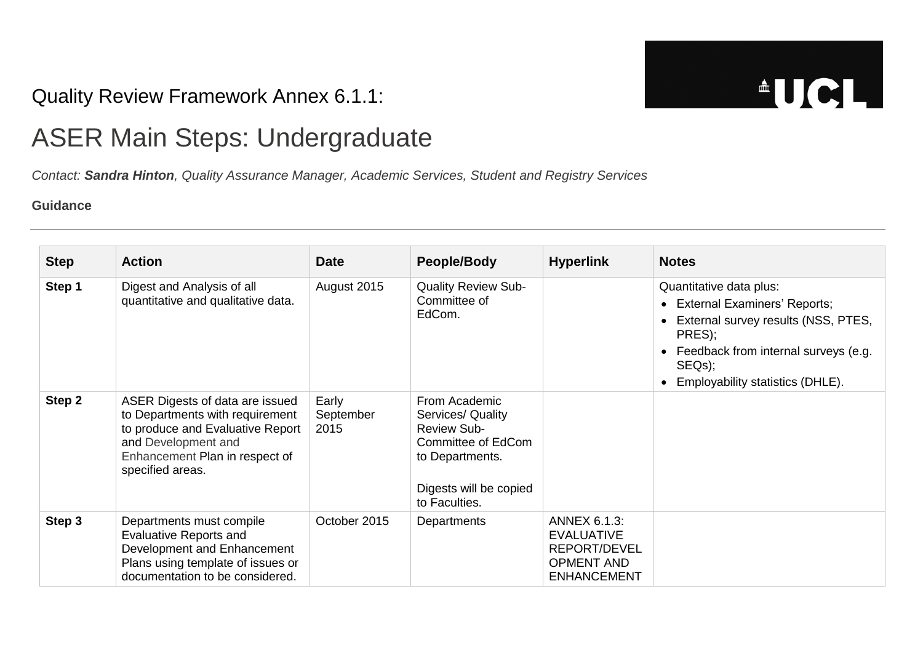## Quality Review Framework Annex 6.1.1:

**AUCL** 

## ASER Main Steps: Undergraduate

*Contact: [Sandra Hinton](mailto:s.hinton@ucl.ac.uk), Quality Assurance Manager, Academic Services, Student and Registry Services*

## **Guidance**

| <b>Step</b> | <b>Action</b>                                                                                                                                                                       | <b>Date</b>                | People/Body                                                                                                                                  | <b>Hyperlink</b>                                                                                    | <b>Notes</b>                                                                                                                                                                                                                                 |
|-------------|-------------------------------------------------------------------------------------------------------------------------------------------------------------------------------------|----------------------------|----------------------------------------------------------------------------------------------------------------------------------------------|-----------------------------------------------------------------------------------------------------|----------------------------------------------------------------------------------------------------------------------------------------------------------------------------------------------------------------------------------------------|
| Step 1      | Digest and Analysis of all<br>quantitative and qualitative data.                                                                                                                    | August 2015                | <b>Quality Review Sub-</b><br>Committee of<br>EdCom.                                                                                         |                                                                                                     | Quantitative data plus:<br><b>External Examiners' Reports;</b><br>$\bullet$<br>External survey results (NSS, PTES,<br>PRES);<br>Feedback from internal surveys (e.g.<br>$\bullet$<br>SEQ <sub>s</sub> );<br>Employability statistics (DHLE). |
| Step 2      | ASER Digests of data are issued<br>to Departments with requirement<br>to produce and Evaluative Report<br>and Development and<br>Enhancement Plan in respect of<br>specified areas. | Early<br>September<br>2015 | From Academic<br>Services/ Quality<br><b>Review Sub-</b><br>Committee of EdCom<br>to Departments.<br>Digests will be copied<br>to Faculties. |                                                                                                     |                                                                                                                                                                                                                                              |
| Step 3      | Departments must compile<br><b>Evaluative Reports and</b><br>Development and Enhancement<br>Plans using template of issues or<br>documentation to be considered.                    | October 2015               | Departments                                                                                                                                  | <b>ANNEX 6.1.3:</b><br><b>EVALUATIVE</b><br>REPORT/DEVEL<br><b>OPMENT AND</b><br><b>ENHANCEMENT</b> |                                                                                                                                                                                                                                              |